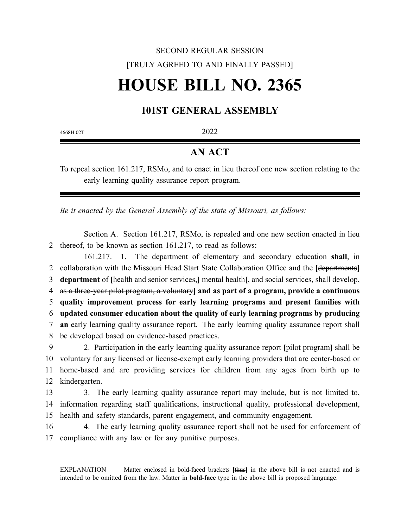## SECOND REGULAR SESSION [TRULY AGREED TO AND FINALLY PASSED]

# **HOUSE BILL NO. 2365**

### **101ST GENERAL ASSEMBLY**

4668H.02T 2022

#### **AN ACT**

To repeal section 161.217, RSMo, and to enact in lieu thereof one new section relating to the early learning quality assurance report program.

*Be it enacted by the General Assembly of the state of Missouri, as follows:*

Section A. Section 161.217, RSMo, is repealed and one new section enacted in lieu 2 thereof, to be known as section 161.217, to read as follows:

161.217. 1. The department of elementary and secondary education **shall**, in collaboration with the Missouri Head Start State Collaboration Office and the **[**departments**] department** of **[**health and senior services,**]** mental health**[**, and social services, shall develop, as a three-year pilot program, a voluntary**] and as part of a program, provide a continuous quality improvement process for early learning programs and present families with updated consumer education about the quality of early learning programs by producing an** early learning quality assurance report. The early learning quality assurance report shall be developed based on evidence-based practices. 2. Participation in the early learning quality assurance report **[**pilot program**]** shall be voluntary for any licensed or license-exempt early learning providers that are center-based or home-based and are providing services for children from any ages from birth up to kindergarten. 3. The early learning quality assurance report may include, but is not limited to,

14 information regarding staff qualifications, instructional quality, professional development, 15 health and safety standards, parent engagement, and community engagement.

16 4. The early learning quality assurance report shall not be used for enforcement of 17 compliance with any law or for any punitive purposes.

EXPLANATION — Matter enclosed in bold-faced brackets **[**thus**]** in the above bill is not enacted and is intended to be omitted from the law. Matter in **bold-face** type in the above bill is proposed language.